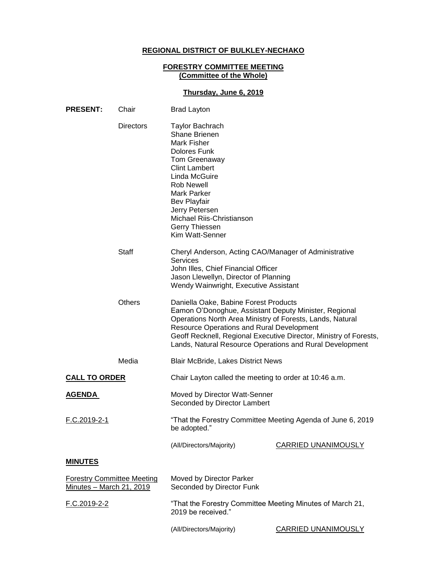### **REGIONAL DISTRICT OF BULKLEY-NECHAKO**

## **FORESTRY COMMITTEE MEETING (Committee of the Whole)**

# **Thursday, June 6, 2019**

| <b>PRESENT:</b>                                               | Chair            | <b>Brad Layton</b>                                                                                                                                                                                                                                                                                                                               |                            |
|---------------------------------------------------------------|------------------|--------------------------------------------------------------------------------------------------------------------------------------------------------------------------------------------------------------------------------------------------------------------------------------------------------------------------------------------------|----------------------------|
|                                                               | <b>Directors</b> | <b>Taylor Bachrach</b><br><b>Shane Brienen</b><br>Mark Fisher<br>Dolores Funk<br>Tom Greenaway<br><b>Clint Lambert</b><br>Linda McGuire<br><b>Rob Newell</b><br><b>Mark Parker</b><br><b>Bev Playfair</b><br>Jerry Petersen<br>Michael Riis-Christianson<br>Gerry Thiessen<br>Kim Watt-Senner                                                    |                            |
|                                                               | <b>Staff</b>     | Cheryl Anderson, Acting CAO/Manager of Administrative<br><b>Services</b><br>John Illes, Chief Financial Officer<br>Jason Llewellyn, Director of Planning<br>Wendy Wainwright, Executive Assistant                                                                                                                                                |                            |
|                                                               | <b>Others</b>    | Daniella Oake, Babine Forest Products<br>Eamon O'Donoghue, Assistant Deputy Minister, Regional<br>Operations North Area Ministry of Forests, Lands, Natural<br><b>Resource Operations and Rural Development</b><br>Geoff Recknell, Regional Executive Director, Ministry of Forests,<br>Lands, Natural Resource Operations and Rural Development |                            |
|                                                               | Media            | <b>Blair McBride, Lakes District News</b>                                                                                                                                                                                                                                                                                                        |                            |
| <b>CALL TO ORDER</b>                                          |                  | Chair Layton called the meeting to order at 10:46 a.m.                                                                                                                                                                                                                                                                                           |                            |
| <u>AGENDA</u>                                                 |                  | Moved by Director Watt-Senner<br>Seconded by Director Lambert                                                                                                                                                                                                                                                                                    |                            |
| F.C.2019-2-1                                                  |                  | "That the Forestry Committee Meeting Agenda of June 6, 2019<br>be adopted."                                                                                                                                                                                                                                                                      |                            |
|                                                               |                  | (All/Directors/Majority)                                                                                                                                                                                                                                                                                                                         | <b>CARRIED UNANIMOUSLY</b> |
| <b>MINUTES</b>                                                |                  |                                                                                                                                                                                                                                                                                                                                                  |                            |
| <b>Forestry Committee Meeting</b><br>Minutes - March 21, 2019 |                  | Moved by Director Parker<br>Seconded by Director Funk                                                                                                                                                                                                                                                                                            |                            |
| F.C.2019-2-2                                                  |                  | "That the Forestry Committee Meeting Minutes of March 21,<br>2019 be received."                                                                                                                                                                                                                                                                  |                            |
|                                                               |                  | (All/Directors/Majority)                                                                                                                                                                                                                                                                                                                         | <b>CARRIED UNANIMOUSLY</b> |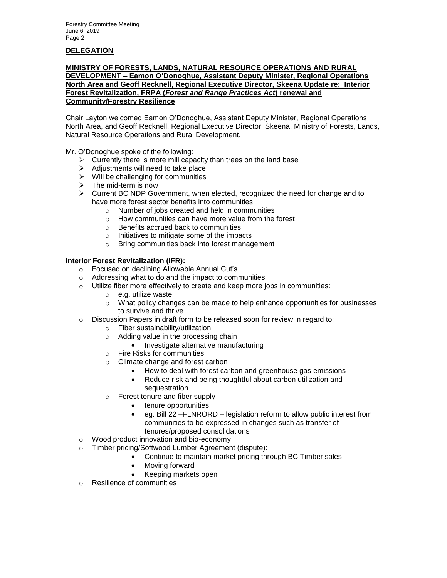# **DELEGATION**

#### **MINISTRY OF FORESTS, LANDS, NATURAL RESOURCE OPERATIONS AND RURAL DEVELOPMENT – Eamon O'Donoghue, Assistant Deputy Minister, Regional Operations North Area and Geoff Recknell, Regional Executive Director, Skeena Update re: Interior Forest Revitalization, FRPA (***Forest and Range Practices Act***) renewal and Community/Forestry Resilience**

Chair Layton welcomed Eamon O'Donoghue, Assistant Deputy Minister, Regional Operations North Area, and Geoff Recknell, Regional Executive Director, Skeena, Ministry of Forests, Lands, Natural Resource Operations and Rural Development.

Mr. O'Donoghue spoke of the following:

- $\triangleright$  Currently there is more mill capacity than trees on the land base
- $\triangleright$  Adjustments will need to take place
- $\triangleright$  Will be challenging for communities
- $\triangleright$  The mid-term is now
- Current BC NDP Government, when elected, recognized the need for change and to have more forest sector benefits into communities
	- o Number of jobs created and held in communities
	- o How communities can have more value from the forest
	- o Benefits accrued back to communities
	- o Initiatives to mitigate some of the impacts
	- o Bring communities back into forest management

### **Interior Forest Revitalization (IFR):**

- o Focused on declining Allowable Annual Cut's
- o Addressing what to do and the impact to communities
- o Utilize fiber more effectively to create and keep more jobs in communities:
	- o e.g. utilize waste
	- $\circ$  What policy changes can be made to help enhance opportunities for businesses to survive and thrive
- $\circ$  Discussion Papers in draft form to be released soon for review in regard to:
	- o Fiber sustainability/utilization
	- o Adding value in the processing chain
		- Investigate alternative manufacturing
	- o Fire Risks for communities
	- o Climate change and forest carbon
		- How to deal with forest carbon and greenhouse gas emissions
		- Reduce risk and being thoughtful about carbon utilization and sequestration
	- o Forest tenure and fiber supply
		- tenure opportunities
		- eg. Bill 22 –FLNRORD legislation reform to allow public interest from communities to be expressed in changes such as transfer of tenures/proposed consolidations
- o Wood product innovation and bio-economy
- o Timber pricing/Softwood Lumber Agreement (dispute):
	- Continue to maintain market pricing through BC Timber sales
	- Moving forward
	- Keeping markets open
- o Resilience of communities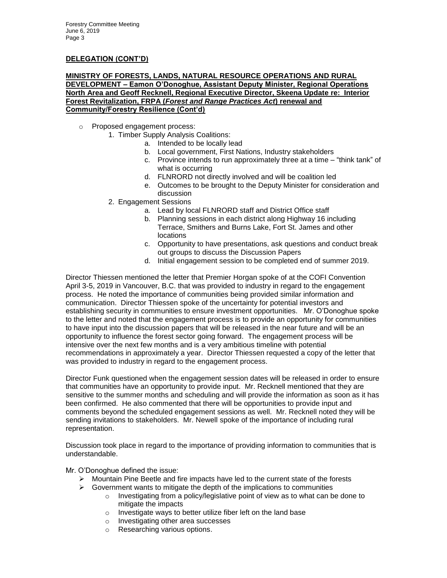#### **MINISTRY OF FORESTS, LANDS, NATURAL RESOURCE OPERATIONS AND RURAL DEVELOPMENT – Eamon O'Donoghue, Assistant Deputy Minister, Regional Operations North Area and Geoff Recknell, Regional Executive Director, Skeena Update re: Interior Forest Revitalization, FRPA (***Forest and Range Practices Act***) renewal and Community/Forestry Resilience (Cont'd)**

- o Proposed engagement process:
	- 1. Timber Supply Analysis Coalitions:
		- a. Intended to be locally lead
		- b. Local government, First Nations, Industry stakeholders
		- c. Province intends to run approximately three at a time "think tank" of what is occurring
		- d. FLNRORD not directly involved and will be coalition led
		- e. Outcomes to be brought to the Deputy Minister for consideration and discussion
	- 2. Engagement Sessions
		- a. Lead by local FLNRORD staff and District Office staff
		- b. Planning sessions in each district along Highway 16 including Terrace, Smithers and Burns Lake, Fort St. James and other locations
		- c. Opportunity to have presentations, ask questions and conduct break out groups to discuss the Discussion Papers
		- d. Initial engagement session to be completed end of summer 2019.

Director Thiessen mentioned the letter that Premier Horgan spoke of at the COFI Convention April 3-5, 2019 in Vancouver, B.C. that was provided to industry in regard to the engagement process. He noted the importance of communities being provided similar information and communication. Director Thiessen spoke of the uncertainty for potential investors and establishing security in communities to ensure investment opportunities. Mr. O'Donoghue spoke to the letter and noted that the engagement process is to provide an opportunity for communities to have input into the discussion papers that will be released in the near future and will be an opportunity to influence the forest sector going forward. The engagement process will be intensive over the next few months and is a very ambitious timeline with potential recommendations in approximately a year. Director Thiessen requested a copy of the letter that was provided to industry in regard to the engagement process.

Director Funk questioned when the engagement session dates will be released in order to ensure that communities have an opportunity to provide input. Mr. Recknell mentioned that they are sensitive to the summer months and scheduling and will provide the information as soon as it has been confirmed. He also commented that there will be opportunities to provide input and comments beyond the scheduled engagement sessions as well. Mr. Recknell noted they will be sending invitations to stakeholders. Mr. Newell spoke of the importance of including rural representation.

Discussion took place in regard to the importance of providing information to communities that is understandable.

Mr. O'Donoghue defined the issue:

- $\triangleright$  Mountain Pine Beetle and fire impacts have led to the current state of the forests
- $\triangleright$  Government wants to mitigate the depth of the implications to communities
	- $\circ$  Investigating from a policy/legislative point of view as to what can be done to mitigate the impacts
	- o Investigate ways to better utilize fiber left on the land base
	- o Investigating other area successes
	- o Researching various options.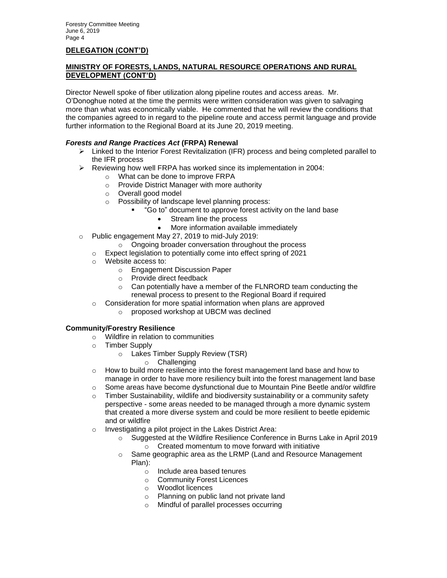## **MINISTRY OF FORESTS, LANDS, NATURAL RESOURCE OPERATIONS AND RURAL DEVELOPMENT (CONT'D)**

Director Newell spoke of fiber utilization along pipeline routes and access areas. Mr. O'Donoghue noted at the time the permits were written consideration was given to salvaging more than what was economically viable. He commented that he will review the conditions that the companies agreed to in regard to the pipeline route and access permit language and provide further information to the Regional Board at its June 20, 2019 meeting.

### *Forests and Range Practices Act* **(FRPA) Renewal**

- $\triangleright$  Linked to the Interior Forest Revitalization (IFR) process and being completed parallel to the IFR process
- $\triangleright$  Reviewing how well FRPA has worked since its implementation in 2004:
	- o What can be done to improve FRPA
	- o Provide District Manager with more authority
	- o Overall good model
	- o Possibility of landscape level planning process:
		- "Go to" document to approve forest activity on the land base
			- Stream line the process
			- More information available immediately
- o Public engagement May 27, 2019 to mid-July 2019:
	- o Ongoing broader conversation throughout the process
	- o Expect legislation to potentially come into effect spring of 2021
	- o Website access to:
		- o Engagement Discussion Paper
		- o Provide direct feedback
		- o Can potentially have a member of the FLNRORD team conducting the renewal process to present to the Regional Board if required
	- o Consideration for more spatial information when plans are approved
		- o proposed workshop at UBCM was declined

#### **Community/Forestry Resilience**

- o Wildfire in relation to communities
- o Timber Supply
	- o Lakes Timber Supply Review (TSR)
		- o Challenging
- $\circ$  How to build more resilience into the forest management land base and how to manage in order to have more resiliency built into the forest management land base
- 
- o Some areas have become dysfunctional due to Mountain Pine Beetle and/or wildfire<br>○ Timber Sustainability, wildlife and biodiversity sustainability or a community safety Timber Sustainability, wildlife and biodiversity sustainability or a community safety perspective - some areas needed to be managed through a more dynamic system that created a more diverse system and could be more resilient to beetle epidemic and or wildfire
- o Investigating a pilot project in the Lakes District Area:
	- Suggested at the Wildfire Resilience Conference in Burns Lake in April 2019 o Created momentum to move forward with initiative
	- o Same geographic area as the LRMP (Land and Resource Management Plan):
		- o Include area based tenures
		- o Community Forest Licences
		- o Woodlot licences
		- o Planning on public land not private land
		- Mindful of parallel processes occurring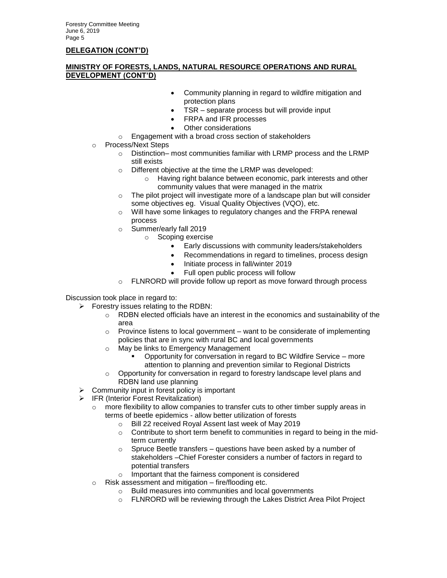### **MINISTRY OF FORESTS, LANDS, NATURAL RESOURCE OPERATIONS AND RURAL DEVELOPMENT (CONT'D)**

- Community planning in regard to wildfire mitigation and protection plans
- TSR separate process but will provide input
- FRPA and IFR processes
- Other considerations
- Engagement with a broad cross section of stakeholders
- o Process/Next Steps
	- o Distinction– most communities familiar with LRMP process and the LRMP still exists
	- o Different objective at the time the LRMP was developed:
		- o Having right balance between economic, park interests and other community values that were managed in the matrix
	- o The pilot project will investigate more of a landscape plan but will consider some objectives eg. Visual Quality Objectives (VQO), etc.
	- o Will have some linkages to regulatory changes and the FRPA renewal process
	- o Summer/early fall 2019
		- o Scoping exercise
			- Early discussions with community leaders/stakeholders
			- Recommendations in regard to timelines, process design
			- Initiate process in fall/winter 2019
			- Full open public process will follow
	- o FLNRORD will provide follow up report as move forward through process

Discussion took place in regard to:

- $\triangleright$  Forestry issues relating to the RDBN:
	- $\circ$  RDBN elected officials have an interest in the economics and sustainability of the area
	- $\circ$  Province listens to local government want to be considerate of implementing policies that are in sync with rural BC and local governments
	- o May be links to Emergency Management
		- Opportunity for conversation in regard to BC Wildfire Service more attention to planning and prevention similar to Regional Districts
	- $\circ$  Opportunity for conversation in regard to forestry landscape level plans and RDBN land use planning
- $\triangleright$  Community input in forest policy is important
- FR (Interior Forest Revitalization)
	- $\circ$  more flexibility to allow companies to transfer cuts to other timber supply areas in terms of beetle epidemics - allow better utilization of forests
		- o Bill 22 received Royal Assent last week of May 2019
		- $\circ$  Contribute to short term benefit to communities in regard to being in the midterm currently
		- $\circ$  Spruce Beetle transfers questions have been asked by a number of stakeholders –Chief Forester considers a number of factors in regard to potential transfers
		- Important that the fairness component is considered
	- $\circ$  Risk assessment and mitigation fire/flooding etc.
		- o Build measures into communities and local governments
		- o FLNRORD will be reviewing through the Lakes District Area Pilot Project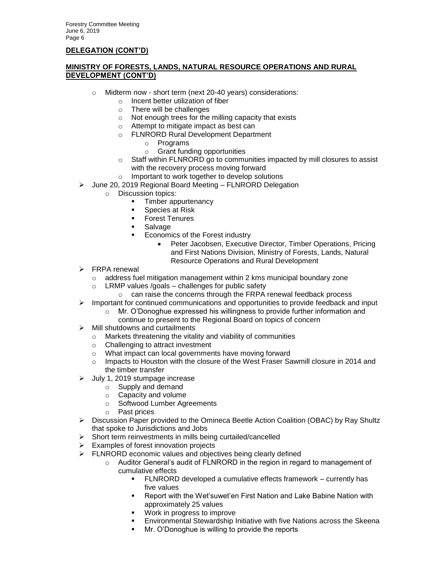## **MINISTRY OF FORESTS, LANDS, NATURAL RESOURCE OPERATIONS AND RURAL DEVELOPMENT (CONT'D)**

- o Midterm now short term (next 20-40 years) considerations:
	- o Incent better utilization of fiber
	- o There will be challenges
	- o Not enough trees for the milling capacity that exists
	- o Attempt to mitigate impact as best can
	- o FLNRORD Rural Development Department
		- o Programs
		- o Grant funding opportunities
	- $\circ$  Staff within FLNRORD go to communities impacted by mill closures to assist with the recovery process moving forward
	- o Important to work together to develop solutions
- June 20, 2019 Regional Board Meeting FLNRORD Delegation
	- o Discussion topics:
		- Timber appurtenancy
		- **Species at Risk**
		- **Forest Tenures**
		- **Salvage**
		- **Economics of the Forest industry** 
			- Peter Jacobsen, Executive Director, Timber Operations, Pricing and First Nations Division, Ministry of Forests, Lands, Natural Resource Operations and Rural Development
- > FRPA renewal
	- $\circ$  address fuel mitigation management within 2 kms municipal boundary zone
	- $\circ$  LRMP values /goals challenges for public safety
		- o can raise the concerns through the FRPA renewal feedback process
- $\triangleright$  Important for continued communications and opportunities to provide feedback and input
	- o Mr. O'Donoghue expressed his willingness to provide further information and continue to present to the Regional Board on topics of concern
- $\triangleright$  Mill shutdowns and curtailments
	- o Markets threatening the vitality and viability of communities
	- o Challenging to attract investment
	- o What impact can local governments have moving forward
	- $\circ$  Impacts to Houston with the closure of the West Fraser Sawmill closure in 2014 and the timber transfer
- $\blacktriangleright$  July 1, 2019 stumpage increase
	- o Supply and demand
	- o Capacity and volume
	- o Softwood Lumber Agreements
	- o Past prices
- ▶ Discussion Paper provided to the Omineca Beetle Action Coalition (OBAC) by Ray Shultz that spoke to Jurisdictions and Jobs
- $\triangleright$  Short term reinvestments in mills being curtailed/cancelled
- $\triangleright$  Examples of forest innovation projects
- $\triangleright$  FLNRORD economic values and objectives being clearly defined
	- $\circ$  Auditor General's audit of FLNRORD in the region in regard to management of cumulative effects
		- **FLNRORD** developed a cumulative effects framework currently has five values
		- Report with the Wet'suwet'en First Nation and Lake Babine Nation with approximately 25 values
		- Work in progress to improve
		- Environmental Stewardship Initiative with five Nations across the Skeena
		- **Mr. O'Donoghue is willing to provide the reports**